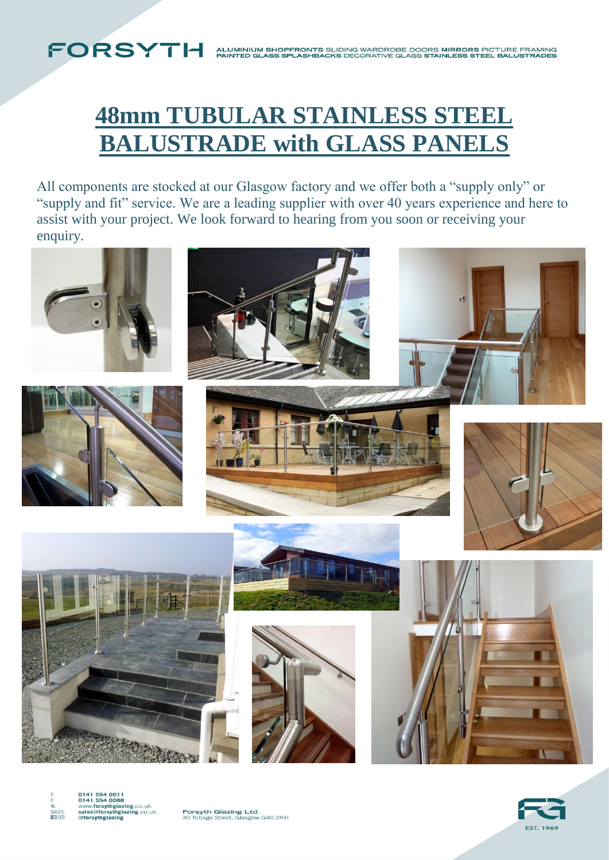# **48mm TUBULAR STAINLESS STEEL BALUSTRADE with GLASS PANELS**

All components are stocked at our Glasgow factory and we offer both a "supply only" or "supply and fit" service. We are a leading supplier with over 40 years experience and here to assist with your project. We look forward to hearing from you soon or receiving your enquiry.





0141 554 0011<br>0141 554 0088<br>www.forsythglazing.co.uk<br>sales@forsythglazing.co.uk<br>@forsythglazing SALES.

FORSYTH

Forsyth Glazing Ltd.<br>30 Tobago Street, Glasgow G40 2RH